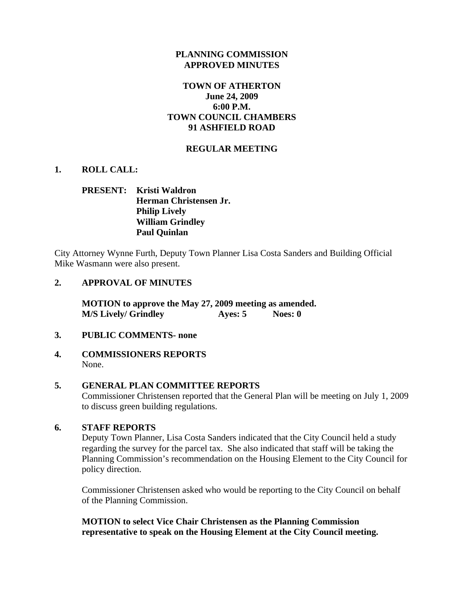### **PLANNING COMMISSION APPROVED MINUTES**

## **TOWN OF ATHERTON June 24, 2009 6:00 P.M. TOWN COUNCIL CHAMBERS 91 ASHFIELD ROAD**

## **REGULAR MEETING**

## **1. ROLL CALL:**

# **PRESENT: Kristi Waldron Herman Christensen Jr. Philip Lively William Grindley Paul Quinlan**

City Attorney Wynne Furth, Deputy Town Planner Lisa Costa Sanders and Building Official Mike Wasmann were also present.

#### **2. APPROVAL OF MINUTES**

**MOTION to approve the May 27, 2009 meeting as amended. M/S Lively/ Grindley Ayes: 5 Noes: 0** 

#### **3. PUBLIC COMMENTS- none**

**4. COMMISSIONERS REPORTS**  None.

#### **5. GENERAL PLAN COMMITTEE REPORTS**

Commissioner Christensen reported that the General Plan will be meeting on July 1, 2009 to discuss green building regulations.

#### **6. STAFF REPORTS**

Deputy Town Planner, Lisa Costa Sanders indicated that the City Council held a study regarding the survey for the parcel tax. She also indicated that staff will be taking the Planning Commission's recommendation on the Housing Element to the City Council for policy direction.

Commissioner Christensen asked who would be reporting to the City Council on behalf of the Planning Commission.

**MOTION to select Vice Chair Christensen as the Planning Commission representative to speak on the Housing Element at the City Council meeting.**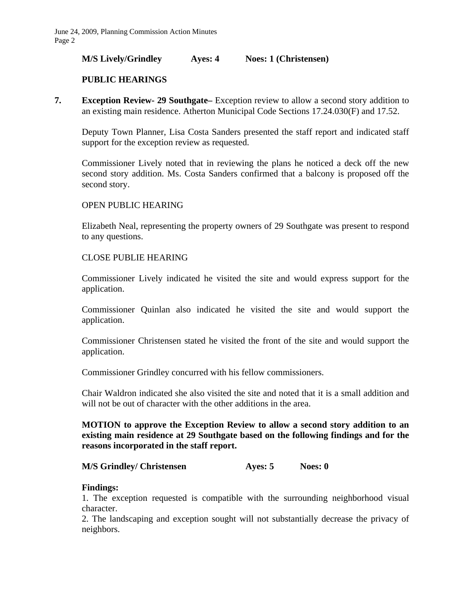#### **M/S Lively/Grindley Ayes: 4 Noes: 1 (Christensen)**

### **PUBLIC HEARINGS**

**7. Exception Review- 29 Southgate–** Exception review to allow a second story addition to an existing main residence. Atherton Municipal Code Sections 17.24.030(F) and 17.52.

Deputy Town Planner, Lisa Costa Sanders presented the staff report and indicated staff support for the exception review as requested.

Commissioner Lively noted that in reviewing the plans he noticed a deck off the new second story addition. Ms. Costa Sanders confirmed that a balcony is proposed off the second story.

#### OPEN PUBLIC HEARING

Elizabeth Neal, representing the property owners of 29 Southgate was present to respond to any questions.

#### CLOSE PUBLIE HEARING

Commissioner Lively indicated he visited the site and would express support for the application.

Commissioner Quinlan also indicated he visited the site and would support the application.

Commissioner Christensen stated he visited the front of the site and would support the application.

Commissioner Grindley concurred with his fellow commissioners.

Chair Waldron indicated she also visited the site and noted that it is a small addition and will not be out of character with the other additions in the area.

## **MOTION to approve the Exception Review to allow a second story addition to an existing main residence at 29 Southgate based on the following findings and for the reasons incorporated in the staff report.**

#### **M/S Grindley/ Christensen Ayes: 5 Noes: 0**

#### **Findings:**

1. The exception requested is compatible with the surrounding neighborhood visual character.

2. The landscaping and exception sought will not substantially decrease the privacy of neighbors.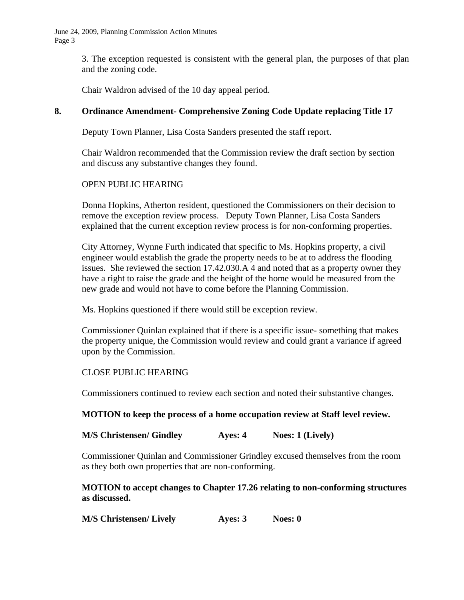June 24, 2009, Planning Commission Action Minutes Page 3

> 3. The exception requested is consistent with the general plan, the purposes of that plan and the zoning code.

Chair Waldron advised of the 10 day appeal period.

## **8. Ordinance Amendment- Comprehensive Zoning Code Update replacing Title 17**

Deputy Town Planner, Lisa Costa Sanders presented the staff report.

Chair Waldron recommended that the Commission review the draft section by section and discuss any substantive changes they found.

## OPEN PUBLIC HEARING

Donna Hopkins, Atherton resident, questioned the Commissioners on their decision to remove the exception review process. Deputy Town Planner, Lisa Costa Sanders explained that the current exception review process is for non-conforming properties.

City Attorney, Wynne Furth indicated that specific to Ms. Hopkins property, a civil engineer would establish the grade the property needs to be at to address the flooding issues. She reviewed the section 17.42.030.A 4 and noted that as a property owner they have a right to raise the grade and the height of the home would be measured from the new grade and would not have to come before the Planning Commission.

Ms. Hopkins questioned if there would still be exception review.

Commissioner Quinlan explained that if there is a specific issue- something that makes the property unique, the Commission would review and could grant a variance if agreed upon by the Commission.

## CLOSE PUBLIC HEARING

Commissioners continued to review each section and noted their substantive changes.

#### **MOTION to keep the process of a home occupation review at Staff level review.**

**M/S Christensen/ Gindley Ayes: 4 Noes: 1 (Lively)** 

Commissioner Quinlan and Commissioner Grindley excused themselves from the room as they both own properties that are non-conforming.

## **MOTION to accept changes to Chapter 17.26 relating to non-conforming structures as discussed.**

| <b>M/S Christensen/ Lively</b> | Ayes: 3 | Noes: $0$ |
|--------------------------------|---------|-----------|
|--------------------------------|---------|-----------|